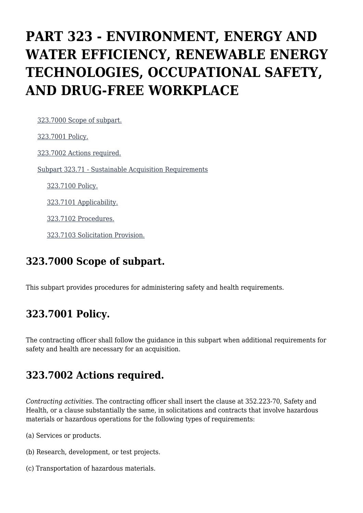# **PART 323 - ENVIRONMENT, ENERGY AND WATER EFFICIENCY, RENEWABLE ENERGY TECHNOLOGIES, OCCUPATIONAL SAFETY, AND DRUG-FREE WORKPLACE**

[323.7000 Scope of subpart.](https://origin-www.acquisition.gov/%5Brp:link:hhsar-part-323%5D#Section_323_7000_T48_401421011)

 [323.7001 Policy.](https://origin-www.acquisition.gov/%5Brp:link:hhsar-part-323%5D#Section_323_7001_T48_401421012) [323.7002 Actions required.](https://origin-www.acquisition.gov/%5Brp:link:hhsar-part-323%5D#Section_323_7002_T48_401421013) [Subpart 323.71 - Sustainable Acquisition Requirements](https://origin-www.acquisition.gov/%5Brp:link:hhsar-part-323%5D#Subpart_323_71_T48_4014211) [323.7100 Policy.](https://origin-www.acquisition.gov/%5Brp:link:hhsar-part-323%5D#Section_323_7100_T48_401421111) [323.7101 Applicability.](https://origin-www.acquisition.gov/%5Brp:link:hhsar-part-323%5D#Section_323_7101_T48_401421112) [323.7102 Procedures.](https://origin-www.acquisition.gov/%5Brp:link:hhsar-part-323%5D#Section_323_7102_T48_401421113)

[323.7103 Solicitation Provision.](https://origin-www.acquisition.gov/%5Brp:link:hhsar-part-323%5D#Section_323_7103_T48_401421114)

### **323.7000 Scope of subpart.**

This subpart provides procedures for administering safety and health requirements.

# **323.7001 Policy.**

The contracting officer shall follow the guidance in this subpart when additional requirements for safety and health are necessary for an acquisition.

## **323.7002 Actions required.**

*Contracting activities.* The contracting officer shall insert the clause at 352.223-70, Safety and Health, or a clause substantially the same, in solicitations and contracts that involve hazardous materials or hazardous operations for the following types of requirements:

(a) Services or products.

- (b) Research, development, or test projects.
- (c) Transportation of hazardous materials.